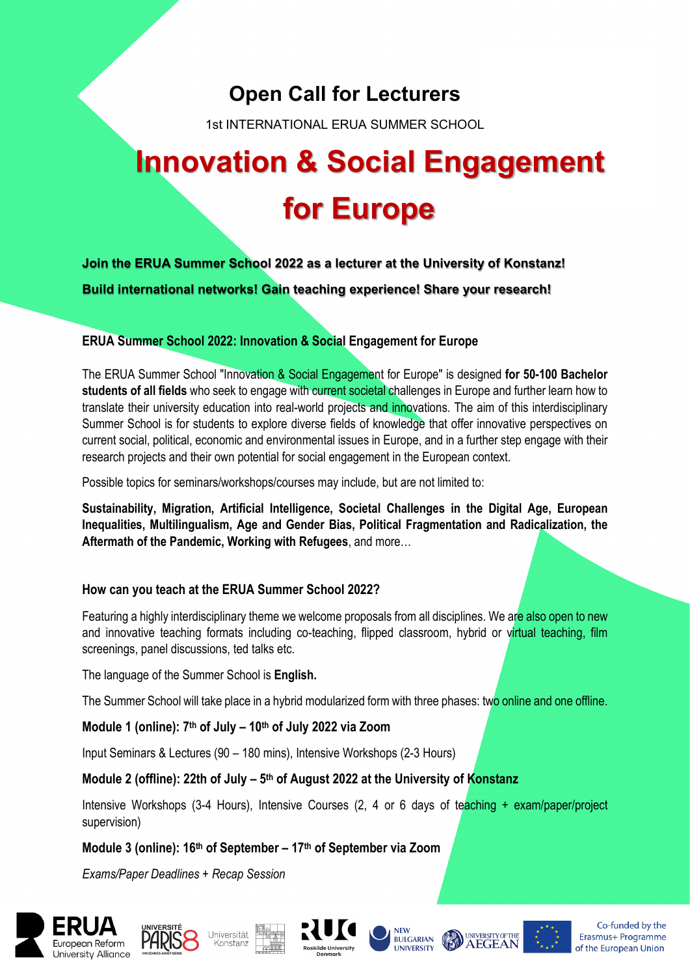## **Open Call for Lecturers**

1st INTERNATIONAL ERUA SUMMER SCHOOL

# **Innovation & Social Engagement for Europe**

**Join the ERUA Summer School 2022 as a lecturer at the University of Konstanz! Build international networks! Gain teaching experience! Share your research!**

#### **ERUA Summer School 2022: Innovation & Social Engagement for Europe**

The ERUA Summer School "Innovation & Social Engagement for Europe" is designed **for 50-100 Bachelor students of all fields** who seek to engage with current societal challenges in Europe and further learn how to translate their university education into real-world projects and innovations. The aim of this interdisciplinary Summer School is for students to explore diverse fields of knowledge that offer innovative perspectives on current social, political, economic and environmental issues in Europe, and in a further step engage with their research projects and their own potential for social engagement in the European context.

Possible topics for seminars/workshops/courses may include, but are not limited to:

**Sustainability, Migration, Artificial Intelligence, Societal Challenges in the Digital Age, European Inequalities, Multilingualism, Age and Gender Bias, Political Fragmentation and Radicalization, the Aftermath of the Pandemic, Working with Refugees**, and more…

#### **How can you teach at the ERUA Summer School 2022?**

Featuring a highly interdisciplinary theme we welcome proposals from all disciplines. We are also open to new and innovative teaching formats including co-teaching, flipped classroom, hybrid or virtual teaching, film screenings, panel discussions, ted talks etc.

The language of the Summer School is **English.**

The Summer School will take place in a hybrid modularized form with three phases: two online and one offline.

#### **Module 1 (online): 7th of July – 10th of July 2022 via Zoom**

Input Seminars & Lectures (90 – 180 mins), Intensive Workshops (2-3 Hours)

#### **Module 2 (offline): 22th of July – 5th of August 2022 at the University of Konstanz**

Intensive Workshops (3-4 Hours), Intensive Courses (2, 4 or 6 days of teaching + exam/paper/project supervision)

### **Module 3 (online): 16th of September – 17th of September via Zoom**

*Exams/Paper Deadlines + Recap Session*